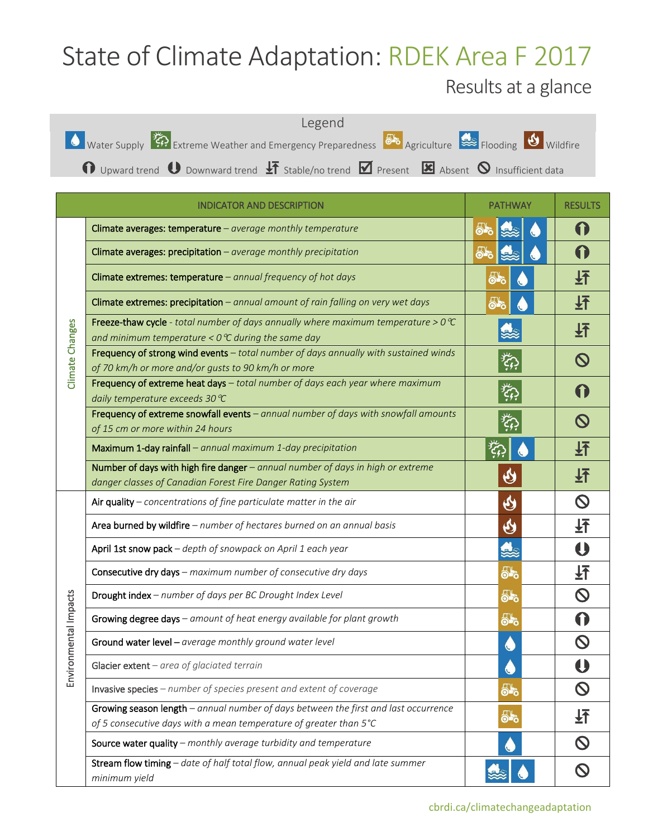## State of Climate Adaptation: RDEK Area F 2017

## Results at a glance



|                           | <b>INDICATOR AND DESCRIPTION</b>                                                                                                                          | <b>PATHWAY</b>            | <b>RESULTS</b>                                                                                                                                                                                                                                                                                                                                                                                                                                    |
|---------------------------|-----------------------------------------------------------------------------------------------------------------------------------------------------------|---------------------------|---------------------------------------------------------------------------------------------------------------------------------------------------------------------------------------------------------------------------------------------------------------------------------------------------------------------------------------------------------------------------------------------------------------------------------------------------|
| Climate Changes           | Climate averages: temperature $-$ average monthly temperature                                                                                             | 55                        |                                                                                                                                                                                                                                                                                                                                                                                                                                                   |
|                           | Climate averages: precipitation - average monthly precipitation                                                                                           | 55                        |                                                                                                                                                                                                                                                                                                                                                                                                                                                   |
|                           | Climate extremes: temperature $-$ annual frequency of hot days                                                                                            | ௸                         | 圩                                                                                                                                                                                                                                                                                                                                                                                                                                                 |
|                           | Climate extremes: precipitation - annual amount of rain falling on very wet days                                                                          | 5.                        | 玨                                                                                                                                                                                                                                                                                                                                                                                                                                                 |
|                           | Freeze-thaw cycle - total number of days annually where maximum temperature > $0^{\circ}C$<br>and minimum temperature < $0^{\circ}$ C during the same day |                           | 圷                                                                                                                                                                                                                                                                                                                                                                                                                                                 |
|                           | Frequency of strong wind events - total number of days annually with sustained winds<br>of 70 km/h or more and/or gusts to 90 km/h or more                | 数                         |                                                                                                                                                                                                                                                                                                                                                                                                                                                   |
|                           | Frequency of extreme heat days - total number of days each year where maximum<br>daily temperature exceeds 30 ℃                                           | $\widetilde{\mathcal{L}}$ |                                                                                                                                                                                                                                                                                                                                                                                                                                                   |
|                           | Frequency of extreme snowfall events - annual number of days with snowfall amounts<br>of 15 cm or more within 24 hours                                    | لمنفر<br>بالمنفق          |                                                                                                                                                                                                                                                                                                                                                                                                                                                   |
|                           | Maximum 1-day rainfall - annual maximum 1-day precipitation                                                                                               |                           | 玨                                                                                                                                                                                                                                                                                                                                                                                                                                                 |
|                           | Number of days with high fire danger - annual number of days in high or extreme<br>danger classes of Canadian Forest Fire Danger Rating System            | $\pmb{\Theta}$            | 圩                                                                                                                                                                                                                                                                                                                                                                                                                                                 |
|                           | Air quality - concentrations of fine particulate matter in the air                                                                                        | $\boldsymbol{\vartheta}$  | $\mathcal{O}% _{M_{1},M_{2}}^{M_{1},M_{2}}(\theta)\equiv\mathcal{O}_{M_{1},M_{2}}^{M_{1},M_{2}}(\theta)\equiv\mathcal{O}_{M_{1},M_{2}}^{M_{1},M_{2}}(\theta)\equiv\mathcal{O}_{M_{1},M_{2}}^{M_{1},M_{2}}(\theta)\equiv\mathcal{O}_{M_{1},M_{2}}^{M_{1},M_{2}}(\theta)\equiv\mathcal{O}_{M_{1},M_{2}}^{M_{1},M_{2}}(\theta)\equiv\mathcal{O}_{M_{1},M_{2}}^{M_{1},M_{2}}(\theta)\equiv\mathcal{O}_{M_{1},M_{2}}^{M_{1},M_{2}}(\theta)\equiv\math$ |
| onmental Impacts<br>Envir | Area burned by wildfire - number of hectares burned on an annual basis                                                                                    | $\boldsymbol{\vartheta}$  | 圩                                                                                                                                                                                                                                                                                                                                                                                                                                                 |
|                           | April 1st snow pack - depth of snowpack on April 1 each year                                                                                              | 忠                         |                                                                                                                                                                                                                                                                                                                                                                                                                                                   |
|                           | Consecutive dry days - maximum number of consecutive dry days                                                                                             | ௸                         | 玨                                                                                                                                                                                                                                                                                                                                                                                                                                                 |
|                           | Drought index - number of days per BC Drought Index Level                                                                                                 | 55                        | $\mathsf{O}$                                                                                                                                                                                                                                                                                                                                                                                                                                      |
|                           | Growing degree days - amount of heat energy available for plant growth                                                                                    | ௸                         |                                                                                                                                                                                                                                                                                                                                                                                                                                                   |
|                           | Ground water level - average monthly ground water level                                                                                                   |                           |                                                                                                                                                                                                                                                                                                                                                                                                                                                   |
|                           | Glacier extent - area of glaciated terrain                                                                                                                | C,                        |                                                                                                                                                                                                                                                                                                                                                                                                                                                   |
|                           | Invasive species - number of species present and extent of coverage                                                                                       | ௸                         | $\mathsf{O}$                                                                                                                                                                                                                                                                                                                                                                                                                                      |
|                           | Growing season length - annual number of days between the first and last occurrence<br>of 5 consecutive days with a mean temperature of greater than 5°C  | 55                        | 玨                                                                                                                                                                                                                                                                                                                                                                                                                                                 |
|                           | Source water quality - monthly average turbidity and temperature                                                                                          |                           | $\mathsf{O}$                                                                                                                                                                                                                                                                                                                                                                                                                                      |
|                           | Stream flow timing - date of half total flow, annual peak yield and late summer<br>minimum yield                                                          |                           |                                                                                                                                                                                                                                                                                                                                                                                                                                                   |